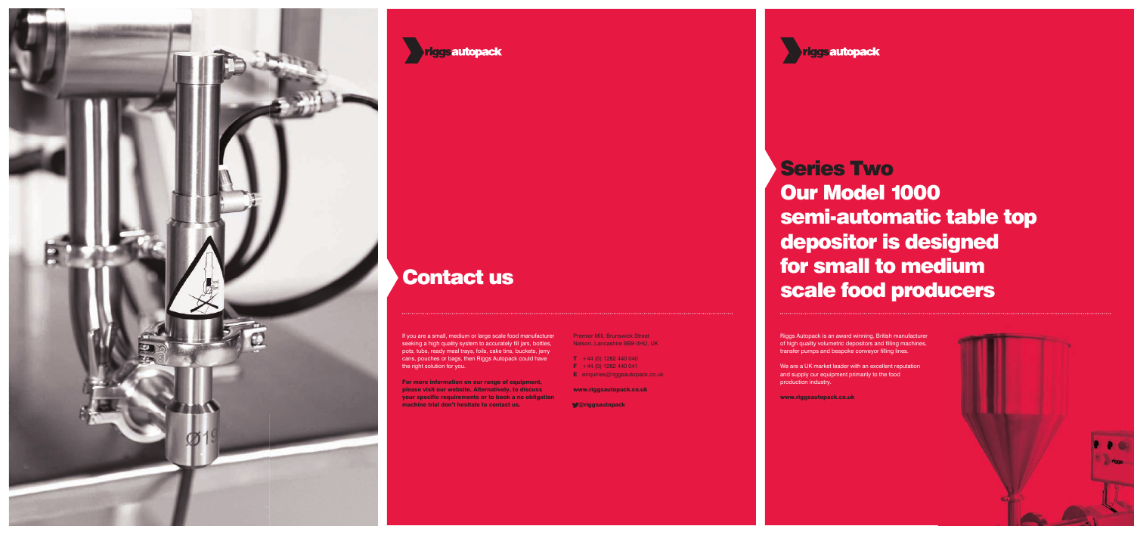

**Tiggsautopack** 

# Series Two Our Model 1000 semi-automatic table top depositor is designed for small to medium scale food producers Contact us

If you are a small, medium or large scale food manufacturer seeking a high quality system to accurately fill jars, bottles, pots, tubs, ready meal trays, foils, cake tins, buckets, jerry cans, pouches or bags, then Riggs Autopack could have the right solution for you.

Riggs Autopack is an award winning, British manufacturer of high quality volumetric depositors and filling machines, transfer pumps and bespoke conveyor filling lines.

For more information on our range of equipment, please visit our website. Alternatively, to discuss your specific requirements or to book a no obligation machine trial don't hesitate to contact us.

We are a UK market leader with an excellent reputation and supply our equipment primarily to the food production industry.

Premier Mill, Brunswick Street Nelson, Lancashire BB9 0HU, UK

- $T +44 (0) 1282 440 040$
- $F +44 (0) 1282 440 041$
- **E** enquiries@riggsautopack.co.uk

www.riggsautopack.co.uk

@riggsautopack

www.riggsautopack.co.uk